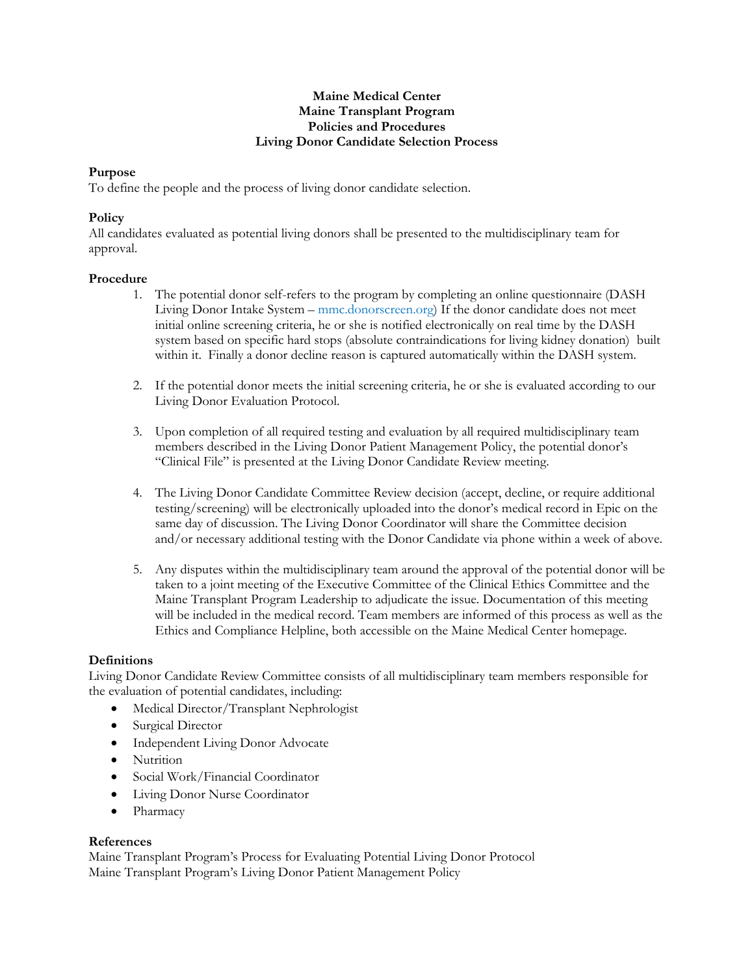#### **Maine Medical Center Maine Transplant Program Policies and Procedures Living Donor Candidate Selection Process**

# **Purpose**

To define the people and the process of living donor candidate selection.

## **Policy**

All candidates evaluated as potential living donors shall be presented to the multidisciplinary team for approval.

### **Procedure**

- 1. The potential donor self-refers to the program by completing an online questionnaire (DASH Living Donor Intake System – mmc.donorscreen.org) If the donor candidate does not meet initial online screening criteria, he or she is notified electronically on real time by the DASH system based on specific hard stops (absolute contraindications for living kidney donation) built within it. Finally a donor decline reason is captured automatically within the DASH system.
- 2. If the potential donor meets the initial screening criteria, he or she is evaluated according to our Living Donor Evaluation Protocol.
- 3. Upon completion of all required testing and evaluation by all required multidisciplinary team members described in the Living Donor Patient Management Policy, the potential donor's "Clinical File" is presented at the Living Donor Candidate Review meeting.
- 4. The Living Donor Candidate Committee Review decision (accept, decline, or require additional testing/screening) will be electronically uploaded into the donor's medical record in Epic on the same day of discussion. The Living Donor Coordinator will share the Committee decision and/or necessary additional testing with the Donor Candidate via phone within a week of above.
- 5. Any disputes within the multidisciplinary team around the approval of the potential donor will be taken to a joint meeting of the Executive Committee of the Clinical Ethics Committee and the Maine Transplant Program Leadership to adjudicate the issue. Documentation of this meeting will be included in the medical record. Team members are informed of this process as well as the Ethics and Compliance Helpline, both accessible on the Maine Medical Center homepage.

### **Definitions**

Living Donor Candidate Review Committee consists of all multidisciplinary team members responsible for the evaluation of potential candidates, including:

- Medical Director/Transplant Nephrologist
- Surgical Director
- Independent Living Donor Advocate
- Nutrition
- Social Work/Financial Coordinator
- Living Donor Nurse Coordinator
- Pharmacy

### **References**

Maine Transplant Program's Process for Evaluating Potential Living Donor Protocol Maine Transplant Program's Living Donor Patient Management Policy